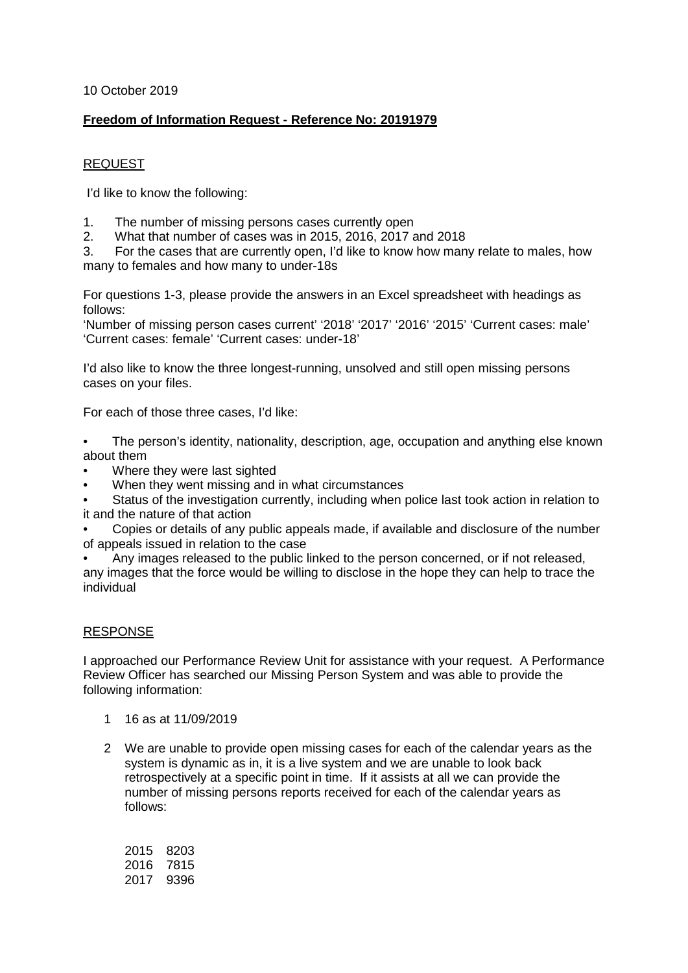10 October 2019

# **Freedom of Information Request - Reference No: 20191979**

### REQUEST

I'd like to know the following:

- 1. The number of missing persons cases currently open
- 2. What that number of cases was in 2015, 2016, 2017 and 2018<br>3. For the cases that are currently open. I'd like to know how man

3. For the cases that are currently open, I'd like to know how many relate to males, how many to females and how many to under-18s

For questions 1-3, please provide the answers in an Excel spreadsheet with headings as follows:

'Number of missing person cases current' '2018' '2017' '2016' '2015' 'Current cases: male' 'Current cases: female' 'Current cases: under-18'

I'd also like to know the three longest-running, unsolved and still open missing persons cases on your files.

For each of those three cases, I'd like:

- The person's identity, nationality, description, age, occupation and anything else known about them
- Where they were last sighted
- When they went missing and in what circumstances
- Status of the investigation currently, including when police last took action in relation to it and the nature of that action
- Copies or details of any public appeals made, if available and disclosure of the number of appeals issued in relation to the case
- Any images released to the public linked to the person concerned, or if not released, any images that the force would be willing to disclose in the hope they can help to trace the individual

### RESPONSE

I approached our Performance Review Unit for assistance with your request. A Performance Review Officer has searched our Missing Person System and was able to provide the following information:

- 1 16 as at 11/09/2019
- 2 We are unable to provide open missing cases for each of the calendar years as the system is dynamic as in, it is a live system and we are unable to look back retrospectively at a specific point in time. If it assists at all we can provide the number of missing persons reports received for each of the calendar years as follows:

| 2015 | 8203 |
|------|------|
| 2016 | 7815 |
| 2017 | 9396 |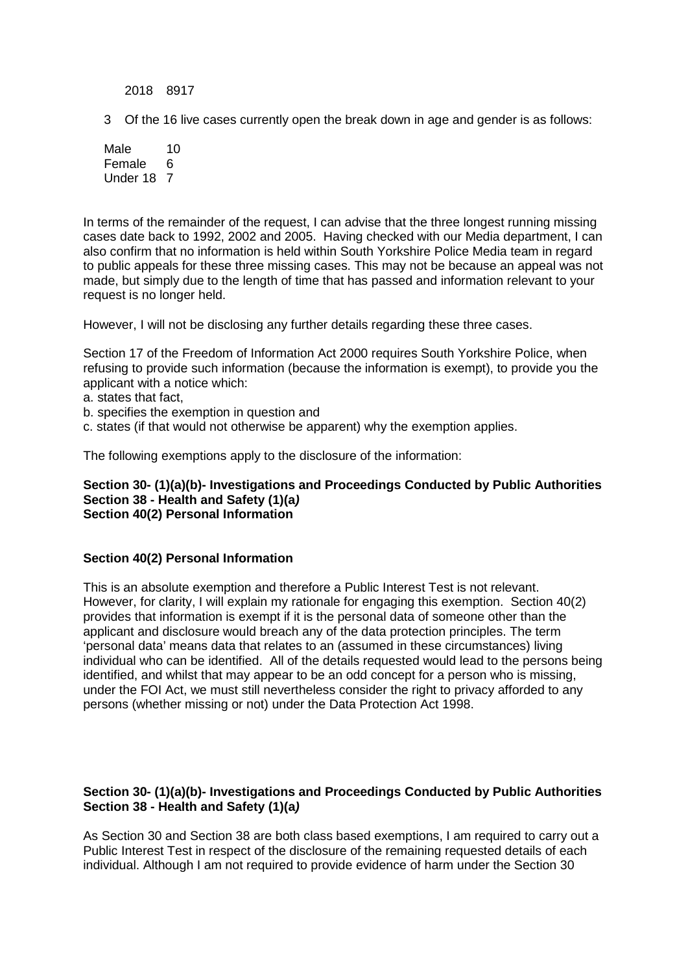2018 8917

3 Of the 16 live cases currently open the break down in age and gender is as follows:

Male 10 Female 6 Under 18 7

In terms of the remainder of the request, I can advise that the three longest running missing cases date back to 1992, 2002 and 2005. Having checked with our Media department, I can also confirm that no information is held within South Yorkshire Police Media team in regard to public appeals for these three missing cases. This may not be because an appeal was not made, but simply due to the length of time that has passed and information relevant to your request is no longer held.

However, I will not be disclosing any further details regarding these three cases.

Section 17 of the Freedom of Information Act 2000 requires South Yorkshire Police, when refusing to provide such information (because the information is exempt), to provide you the applicant with a notice which:

a. states that fact,

b. specifies the exemption in question and

c. states (if that would not otherwise be apparent) why the exemption applies.

The following exemptions apply to the disclosure of the information:

**Section 30- (1)(a)(b)- Investigations and Proceedings Conducted by Public Authorities Section 38 - Health and Safety (1)(a***)* **Section 40(2) Personal Information** 

#### **Section 40(2) Personal Information**

This is an absolute exemption and therefore a Public Interest Test is not relevant. However, for clarity, I will explain my rationale for engaging this exemption. Section 40(2) provides that information is exempt if it is the personal data of someone other than the applicant and disclosure would breach any of the data protection principles. The term 'personal data' means data that relates to an (assumed in these circumstances) living individual who can be identified. All of the details requested would lead to the persons being identified, and whilst that may appear to be an odd concept for a person who is missing, under the FOI Act, we must still nevertheless consider the right to privacy afforded to any persons (whether missing or not) under the Data Protection Act 1998.

#### **Section 30- (1)(a)(b)- Investigations and Proceedings Conducted by Public Authorities Section 38 - Health and Safety (1)(a***)*

As Section 30 and Section 38 are both class based exemptions, I am required to carry out a Public Interest Test in respect of the disclosure of the remaining requested details of each individual. Although I am not required to provide evidence of harm under the Section 30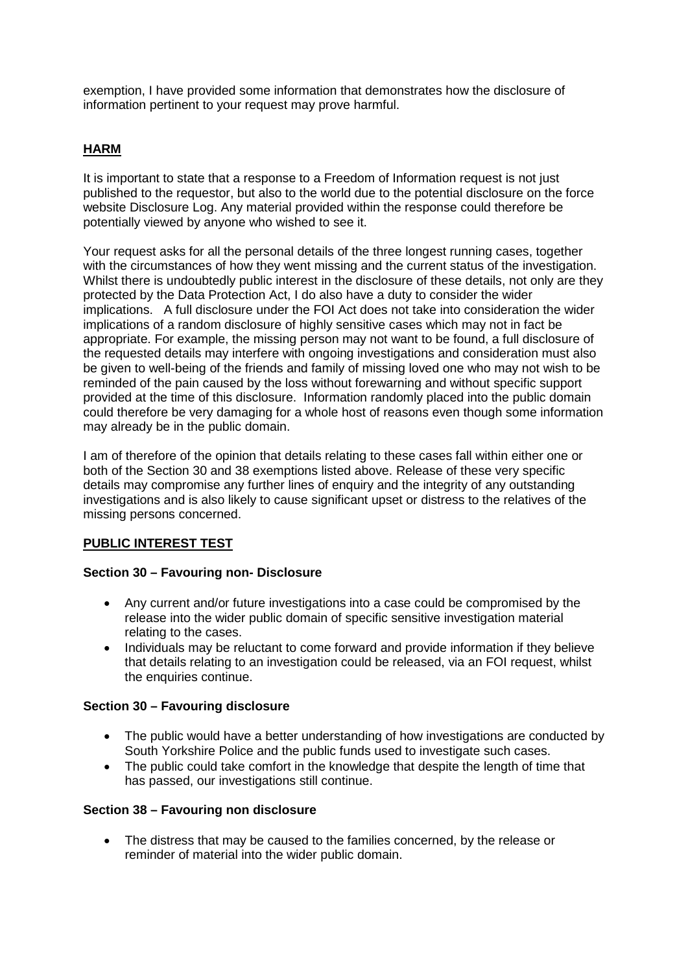exemption, I have provided some information that demonstrates how the disclosure of information pertinent to your request may prove harmful.

# **HARM**

It is important to state that a response to a Freedom of Information request is not just published to the requestor, but also to the world due to the potential disclosure on the force website Disclosure Log. Any material provided within the response could therefore be potentially viewed by anyone who wished to see it.

Your request asks for all the personal details of the three longest running cases, together with the circumstances of how they went missing and the current status of the investigation. Whilst there is undoubtedly public interest in the disclosure of these details, not only are they protected by the Data Protection Act, I do also have a duty to consider the wider implications. A full disclosure under the FOI Act does not take into consideration the wider implications of a random disclosure of highly sensitive cases which may not in fact be appropriate. For example, the missing person may not want to be found, a full disclosure of the requested details may interfere with ongoing investigations and consideration must also be given to well-being of the friends and family of missing loved one who may not wish to be reminded of the pain caused by the loss without forewarning and without specific support provided at the time of this disclosure. Information randomly placed into the public domain could therefore be very damaging for a whole host of reasons even though some information may already be in the public domain.

I am of therefore of the opinion that details relating to these cases fall within either one or both of the Section 30 and 38 exemptions listed above. Release of these very specific details may compromise any further lines of enquiry and the integrity of any outstanding investigations and is also likely to cause significant upset or distress to the relatives of the missing persons concerned.

### **PUBLIC INTEREST TEST**

### **Section 30 – Favouring non- Disclosure**

- Any current and/or future investigations into a case could be compromised by the release into the wider public domain of specific sensitive investigation material relating to the cases.
- Individuals may be reluctant to come forward and provide information if they believe that details relating to an investigation could be released, via an FOI request, whilst the enquiries continue.

### **Section 30 – Favouring disclosure**

- The public would have a better understanding of how investigations are conducted by South Yorkshire Police and the public funds used to investigate such cases.
- The public could take comfort in the knowledge that despite the length of time that has passed, our investigations still continue.

### **Section 38 – Favouring non disclosure**

• The distress that may be caused to the families concerned, by the release or reminder of material into the wider public domain.